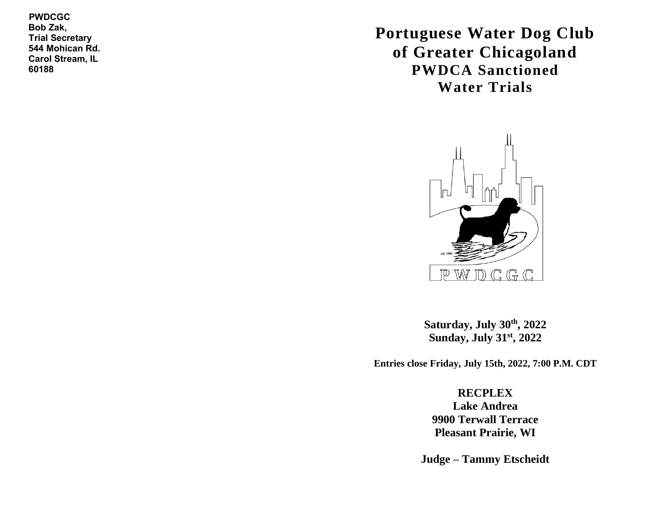**PWDCGC Bob Zak, Trial Secretary 544 Mohican Rd. Carol Stream, IL 60188**

**Portuguese Water Dog Club of Greater Chicagoland PWDCA Sanctioned Water Trials**



**Saturday, July 30th, 2022 Sunday, July 31st, 2022**

**Entries close Friday, July 15th, 2022, 7:00 P.M. CDT**

**RECPLEX Lake Andrea 9900 Terwall Terrace Pleasant Prairie, WI**

**Judge – Tammy Etscheidt**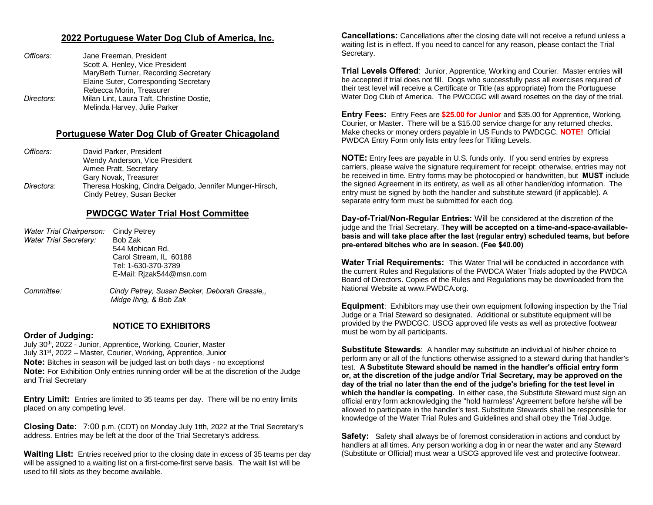### **2022 Portuguese Water Dog Club of America, Inc.**

| Jane Freeman, President                                                   |
|---------------------------------------------------------------------------|
| Scott A. Henley, Vice President                                           |
| MaryBeth Turner, Recording Secretary                                      |
| Elaine Suter, Corresponding Secretary                                     |
| Rebecca Morin, Treasurer                                                  |
| Milan Lint, Laura Taft, Christine Dostie,<br>Melinda Harvey, Julie Parker |
|                                                                           |

### **Portuguese Water Dog Club of Greater Chicagoland**

| Officers:  | David Parker, President                                                                |
|------------|----------------------------------------------------------------------------------------|
|            | Wendy Anderson, Vice President                                                         |
|            | Aimee Pratt, Secretary                                                                 |
|            | Gary Novak, Treasurer                                                                  |
| Directors: | Theresa Hosking, Cindra Delgado, Jennifer Munger-Hirsch,<br>Cindy Petrey, Susan Becker |

# **PWDCGC Water Trial Host Committee**

| Cindy Petrey             |
|--------------------------|
| Bob Zak                  |
| 544 Mohican Rd.          |
| Carol Stream. IL 60188   |
| Tel: 1-630-370-3789      |
| E-Mail: Rizak544@msn.com |
|                          |
|                          |

*Committee: Cindy Petrey, Susan Becker, Deborah Gressle,, Midge Ihrig, & Bob Zak*

#### **NOTICE TO EXHIBITORS**

#### **Order of Judging:**

July 30<sup>th</sup>, 2022 - Junior, Apprentice, Working, Courier, Master July 31st, 2022 – Master, Courier, Working, Apprentice, Junior **Note:** Bitches in season will be judged last on both days - no exceptions! **Note:** For Exhibition Only entries running order will be at the discretion of the Judge and Trial Secretary

**Entry Limit:** Entries are limited to 35 teams per day. There will be no entry limits placed on any competing level.

**Closing Date:** 7:00 p.m. (CDT) on Monday July 1tth, 2022 at the Trial Secretary's address. Entries may be left at the door of the Trial Secretary's address.

**Waiting List:** Entries received prior to the closing date in excess of 35 teams per day will be assigned to a waiting list on a first-come-first serve basis. The wait list will be used to fill slots as they become available.

**Cancellations:** Cancellations after the closing date will not receive a refund unless a waiting list is in effect. If you need to cancel for any reason, please contact the Trial Secretary.

**Trial Levels Offered**: Junior, Apprentice, Working and Courier. Master entries will be accepted if trial does not fill. Dogs who successfully pass all exercises required of their test level will receive a Certificate or Title (as appropriate) from the Portuguese Water Dog Club of America. The PWCCGC will award rosettes on the day of the trial.

**Entry Fees:** Entry Fees are **\$25.00 for Junior** and \$35.00 for Apprentice, Working, Courier, or Master. There will be a \$15.00 service charge for any returned checks. Make checks or money orders payable in US Funds to PWDCGC. **NOTE!** Official PWDCA Entry Form only lists entry fees for Titling Levels.

**NOTE:** Entry fees are payable in U.S. funds only. If you send entries by express carriers, please waive the signature requirement for receipt; otherwise, entries may not be received in time. Entry forms may be photocopied or handwritten, but **MUST** include the signed Agreement in its entirety, as well as all other handler/dog information. The entry must be signed by both the handler and substitute steward (if applicable). A separate entry form must be submitted for each dog.

**Day-of-Trial/Non-Regular Entries:** Will be considered at the discretion of the judge and the Trial Secretary. T**hey will be accepted on a time-and-space-availablebasis and will take place after the last (regular entry) scheduled teams, but before pre-entered bitches who are in season. (Fee \$40.00)**

**Water Trial Requirements:** This Water Trial will be conducted in accordance with the current Rules and Regulations of the PWDCA Water Trials adopted by the PWDCA Board of Directors. Copies of the Rules and Regulations may be downloaded from the National Website at www.PWDCA.org.

**Equipment**: Exhibitors may use their own equipment following inspection by the Trial Judge or a Trial Steward so designated. Additional or substitute equipment will be provided by the PWDCGC. USCG approved life vests as well as protective footwear must be worn by all participants.

**Substitute Stewards**: A handler may substitute an individual of his/her choice to perform any or all of the functions otherwise assigned to a steward during that handler's test. **A Substitute Steward should be named in the handler's official entry form or, at the discretion of the judge and/or Trial Secretary, may be approved on the day of the trial no later than the end of the judge's briefing for the test level in which the handler is competing.** In either case, the Substitute Steward must sign an official entry form acknowledging the "hold harmless' Agreement before he/she will be allowed to participate in the handler's test. Substitute Stewards shall be responsible for knowledge of the Water Trial Rules and Guidelines and shall obey the Trial Judge.

**Safety:** Safety shall always be of foremost consideration in actions and conduct by handlers at all times. Any person working a dog in or near the water and any Steward (Substitute or Official) must wear a USCG approved life vest and protective footwear.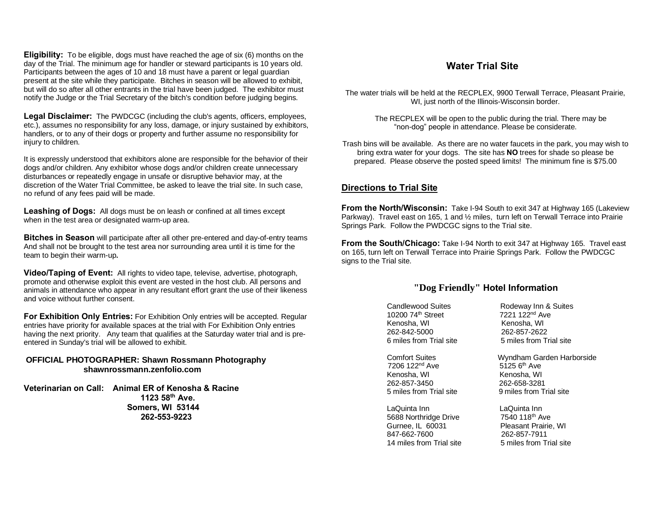**Eligibility:** To be eligible, dogs must have reached the age of six (6) months on the day of the Trial. The minimum age for handler or steward participants is 10 years old. Participants between the ages of 10 and 18 must have a parent or legal guardian present at the site while they participate. Bitches in season will be allowed to exhibit, but will do so after all other entrants in the trial have been judged. The exhibitor must notify the Judge or the Trial Secretary of the bitch's condition before judging begins.

**Legal Disclaimer:** The PWDCGC (including the club's agents, officers, employees, etc.), assumes no responsibility for any loss, damage, or injury sustained by exhibitors, handlers, or to any of their dogs or property and further assume no responsibility for injury to children.

It is expressly understood that exhibitors alone are responsible for the behavior of their dogs and/or children. Any exhibitor whose dogs and/or children create unnecessary disturbances or repeatedly engage in unsafe or disruptive behavior may, at the discretion of the Water Trial Committee, be asked to leave the trial site. In such case, no refund of any fees paid will be made.

**Leashing of Dogs:** All dogs must be on leash or confined at all times except when in the test area or designated warm-up area.

**Bitches in Season** will participate after all other pre-entered and day-of-entry teams And shall not be brought to the test area nor surrounding area until it is time for the team to begin their warm-up**.**

**Video/Taping of Event:** All rights to video tape, televise, advertise, photograph, promote and otherwise exploit this event are vested in the host club. All persons and animals in attendance who appear in any resultant effort grant the use of their likeness and voice without further consent.

**For Exhibition Only Entries:** For Exhibition Only entries will be accepted. Regular entries have priority for available spaces at the trial with For Exhibition Only entries having the next priority. Any team that qualifies at the Saturday water trial and is preentered in Sunday's trial will be allowed to exhibit.

### **OFFICIAL PHOTOGRAPHER: Shawn Rossmann Photography shawnrossmann.zenfolio.com**

**Veterinarian on Call: Animal ER of Kenosha & Racine 1123 58th Ave. Somers, WI 53144 262-553-9223**

# **Water Trial Site**

The water trials will be held at the RECPLEX, 9900 Terwall Terrace, Pleasant Prairie, WI, just north of the Illinois-Wisconsin border.

> The RECPLEX will be open to the public during the trial. There may be "non-dog" people in attendance. Please be considerate.

Trash bins will be available. As there are no water faucets in the park, you may wish to bring extra water for your dogs. The site has **NO** trees for shade so please be prepared. Please observe the posted speed limits! The minimum fine is \$75.00

# **Directions to Trial Site**

**From the North/Wisconsin:** Take I-94 South to exit 347 at Highway 165 (Lakeview Parkway). Travel east on 165, 1 and ½ miles, turn left on Terwall Terrace into Prairie Springs Park. Follow the PWDCGC signs to the Trial site.

**From the South/Chicago:** Take I-94 North to exit 347 at Highway 165. Travel east on 165, turn left on Terwall Terrace into Prairie Springs Park. Follow the PWDCGC signs to the Trial site.

# **"Dog Friendly" Hotel Information**

Candlewood Suites Rodeway Inn & Suites 10200 74th Street 7221 122nd Ave Kenosha, WI **Kenosha, WI** Kenosha, WI 262-842-5000 262-857-2622 6 miles from Trial site 5 miles from Trial site

7206 122<sup>nd</sup> Ave Kenosha, WI Kenosha, WI 262-857-3450 262-658-3281 5 miles from Trial site 9 miles from Trial site

 LaQuinta Inn LaQuinta Inn 5688 Northridge Drive 7540 118<sup>th</sup> Ave Gurnee, IL 60031 Pleasant Prairie, WI 847-662-7600 262-857-7911 14 miles from Trial site 5 miles from Trial site

Comfort Suites Wyndham Garden Harborside<br>7206 122<sup>nd</sup> Ave 5125 6<sup>th</sup> Ave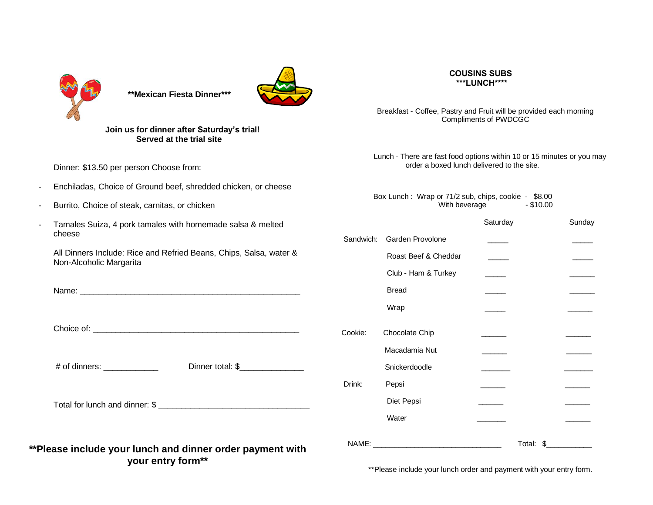

 **\*\*Mexican Fiesta Dinner\*\*\***



**Join us for dinner after Saturday's trial! Served at the trial site** 

Dinner: \$13.50 per person Choose from:

- Enchiladas, Choice of Ground beef, shredded chicken, or cheese
- Burrito, Choice of steak, carnitas, or chicken
- Tamales Suiza, 4 pork tamales with homemade salsa & melted cheese

All Dinners Include: Rice and Refried Beans, Chips, Salsa, water & Non-Alcoholic Margarita

Name: \_\_\_\_\_\_\_\_\_\_\_\_\_\_\_\_\_\_\_\_\_\_\_\_\_\_\_\_\_\_\_\_\_\_\_\_\_\_\_\_\_\_\_\_\_\_\_\_

Choice of:

# of dinners: \_\_\_\_\_\_\_\_\_\_\_\_ Dinner total: \$\_\_\_\_\_\_\_\_\_\_\_\_\_\_

Total for lunch and dinner: \$

**\*\*Please include your lunch and dinner order payment with your entry form\*\***

#### **COUSINS SUBS \*\*\*LUNCH\*\*\*\***

Breakfast - Coffee, Pastry and Fruit will be provided each morning Compliments of PWDCGC

Lunch - There are fast food options within 10 or 15 minutes or you may order a boxed lunch delivered to the site.

Box Lunch : Wrap or 71/2 sub, chips, cookie - \$8.00 With beverage  $-$  \$10.00

|           |                      | Saturday |           | Sunday |
|-----------|----------------------|----------|-----------|--------|
| Sandwich: | Garden Provolone     |          |           |        |
|           | Roast Beef & Cheddar |          |           |        |
|           | Club - Ham & Turkey  |          |           |        |
|           | <b>Bread</b>         |          |           |        |
|           | Wrap                 |          |           |        |
| Cookie:   | Chocolate Chip       |          |           |        |
|           | Macadamia Nut        |          |           |        |
|           | Snickerdoodle        |          |           |        |
| Drink:    | Pepsi                |          |           |        |
|           | Diet Pepsi           |          |           |        |
|           | Water                |          |           |        |
| NAME:     |                      |          | Total: \$ |        |

\*\*Please include your lunch order and payment with your entry form.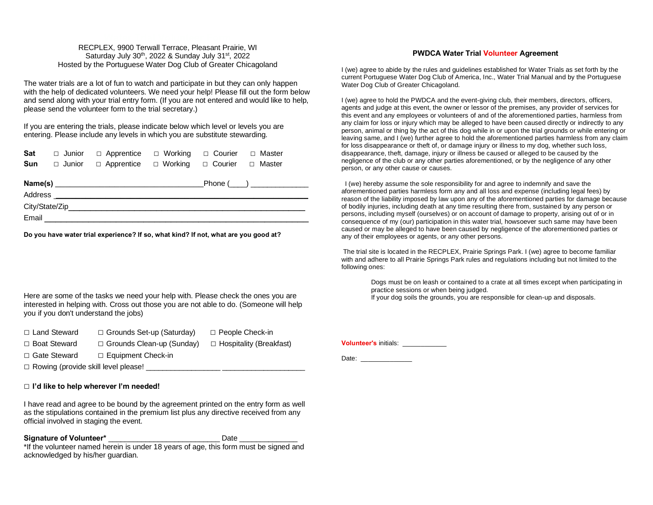#### RECPLEX, 9900 Terwall Terrace, Pleasant Prairie, WI Saturday July 30<sup>th</sup>, 2022 & Sunday July 31<sup>st</sup>, 2022 Hosted by the Portuguese Water Dog Club of Greater Chicagoland

The water trials are a lot of fun to watch and participate in but they can only happen with the help of dedicated volunteers. We need your help! Please fill out the form below and send along with your trial entry form. (If you are not entered and would like to help, please send the volunteer form to the trial secretary.)

If you are entering the trials, please indicate below which level or levels you are entering. Please include any levels in which you are substitute stewarding.

|  | <b>Sat</b> $\Box$ Junior $\Box$ Apprentice $\Box$ Working $\Box$ Courier $\Box$ Master |  |  |
|--|----------------------------------------------------------------------------------------|--|--|
|  | <b>Sun</b> $\Box$ Junior $\Box$ Apprentice $\Box$ Working $\Box$ Courier $\Box$ Master |  |  |
|  |                                                                                        |  |  |

| Name(s)        | Phone ( |
|----------------|---------|
| Address        |         |
| City/State/Zip |         |
| Email          |         |

**Do you have water trial experience? If so, what kind? If not, what are you good at?**

Here are some of the tasks we need your help with. Please check the ones you are interested in helping with. Cross out those you are not able to do. (Someone will help you if you don't understand the jobs)

|  | □ Land Steward | $\Box$ Grounds Set-up (Saturday) | □ People Check-in |
|--|----------------|----------------------------------|-------------------|
|--|----------------|----------------------------------|-------------------|

- $\Box$  Boat Steward  $\Box$  Grounds Clean-up (Sunday)  $\Box$  Hospitality (Breakfast)
- □ Gate Steward □ Equipment Check-in

 $\square$  Rowing (provide skill level please!

acknowledged by his/her guardian.

#### □ **I'd like to help wherever I'm needed!**

I have read and agree to be bound by the agreement printed on the entry form as well as the stipulations contained in the premium list plus any directive received from any official involved in staging the event.

Signature of Volunteer\* \_\_\_\_\_\_\_\_\_\_\_\_\_\_\_\_\_\_\_\_\_\_\_\_\_\_\_\_\_\_\_\_\_ Date \_\_\_\_\_\_\_\_\_\_\_\_\_\_\_\_\_\_ \*If the volunteer named herein is under 18 years of age, this form must be signed and

#### **PWDCA Water Trial Volunteer Agreement**

I (we) agree to abide by the rules and guidelines established for Water Trials as set forth by the current Portuguese Water Dog Club of America, Inc., Water Trial Manual and by the Portuguese Water Dog Club of Greater Chicagoland.

I (we) agree to hold the PWDCA and the event-giving club, their members, directors, officers, agents and judge at this event, the owner or lessor of the premises, any provider of services for this event and any employees or volunteers of and of the aforementioned parties, harmless from any claim for loss or injury which may be alleged to have been caused directly or indirectly to any person, animal or thing by the act of this dog while in or upon the trial grounds or while entering or leaving same, and I (we) further agree to hold the aforementioned parties harmless from any claim for loss disappearance or theft of, or damage injury or illness to my dog, whether such loss, disappearance, theft, damage, injury or illness be caused or alleged to be caused by the negligence of the club or any other parties aforementioned, or by the negligence of any other person, or any other cause or causes.

 I (we) hereby assume the sole responsibility for and agree to indemnify and save the aforementioned parties harmless form any and all loss and expense (including legal fees) by reason of the liability imposed by law upon any of the aforementioned parties for damage because of bodily injuries, including death at any time resulting there from, sustained by any person or persons, including myself (ourselves) or on account of damage to property, arising out of or in consequence of my (our) participation in this water trial, howsoever such same may have been caused or may be alleged to have been caused by negligence of the aforementioned parties or any of their employees or agents, or any other persons.

The trial site is located in the RECPLEX, Prairie Springs Park. I (we) agree to become familiar with and adhere to all Prairie Springs Park rules and regulations including but not limited to the following ones:

> Dogs must be on leash or contained to a crate at all times except when participating in practice sessions or when being judged.

If your dog soils the grounds, you are responsible for clean-up and disposals.

**Volunteer's** initials: \_\_\_\_\_\_\_\_\_\_\_\_

Date: \_\_\_\_\_\_\_\_\_\_\_\_\_\_